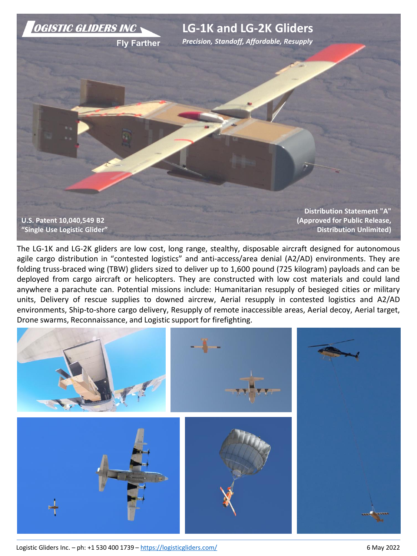

The LG-1K and LG-2K gliders are low cost, long range, stealthy, disposable aircraft designed for autonomous agile cargo distribution in "contested logistics" and anti-access/area denial (A2/AD) environments. They are folding truss-braced wing (TBW) gliders sized to deliver up to 1,600 pound (725 kilogram) payloads and can be deployed from cargo aircraft or helicopters. They are constructed with low cost materials and could land anywhere a parachute can. Potential missions include: Humanitarian resupply of besieged cities or military units, Delivery of rescue supplies to downed aircrew, Aerial resupply in contested logistics and A2/AD environments, Ship-to-shore cargo delivery, Resupply of remote inaccessible areas, Aerial decoy, Aerial target, Drone swarms, Reconnaissance, and Logistic support for firefighting.



Logistic Gliders Inc. – ph: +1 530 400 1739 – <https://logisticgliders.com/> 6 May 2022